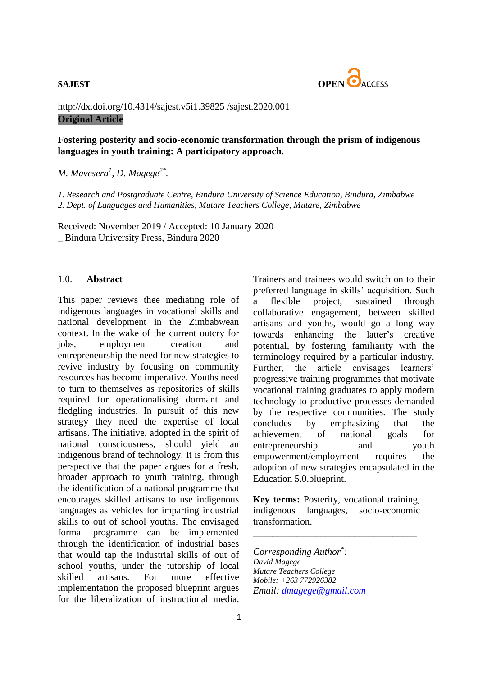

## [http://dx.doi.org/10.4314/sajest.v5i1.39825](http://dx.doi.org/10.4314/sajest.v5i1.39825%20/sajest.2020.001) /sajest.2020.001 **Original Article**

### **Fostering posterity and socio-economic transformation through the prism of indigenous languages in youth training: A participatory approach.**

*M. Mavesera<sup>1</sup> , D. Magege2\* .*

*1. Research and Postgraduate Centre, Bindura University of Science Education, Bindura, Zimbabwe 2. Dept. of Languages and Humanities, Mutare Teachers College, Mutare, Zimbabwe*

Received: November 2019 / Accepted: 10 January 2020 \_ Bindura University Press, Bindura 2020

### 1.0. **Abstract**

This paper reviews thee mediating role of indigenous languages in vocational skills and national development in the Zimbabwean context. In the wake of the current outcry for jobs, employment creation and entrepreneurship the need for new strategies to revive industry by focusing on community resources has become imperative. Youths need to turn to themselves as repositories of skills required for operationalising dormant and fledgling industries. In pursuit of this new strategy they need the expertise of local artisans. The initiative, adopted in the spirit of national consciousness, should yield an indigenous brand of technology. It is from this perspective that the paper argues for a fresh, broader approach to youth training, through the identification of a national programme that encourages skilled artisans to use indigenous languages as vehicles for imparting industrial skills to out of school youths. The envisaged formal programme can be implemented through the identification of industrial bases that would tap the industrial skills of out of school youths, under the tutorship of local skilled artisans. For more effective implementation the proposed blueprint argues for the liberalization of instructional media.

Trainers and trainees would switch on to their preferred language in skills' acquisition. Such a flexible project, sustained through collaborative engagement, between skilled artisans and youths, would go a long way towards enhancing the latter's creative potential, by fostering familiarity with the terminology required by a particular industry. Further, the article envisages learners' progressive training programmes that motivate vocational training graduates to apply modern technology to productive processes demanded by the respective communities. The study concludes by emphasizing that the achievement of national goals for entrepreneurship and youth empowerment/employment requires the adoption of new strategies encapsulated in the Education 5.0.blueprint.

**Key terms:** Posterity, vocational training, indigenous languages, socio-economic transformation.

\_\_\_\_\_\_\_\_\_\_\_\_\_\_\_\_\_\_\_\_\_\_\_\_\_\_\_\_\_\_\_\_\_\_

*Corresponding Author\* : David Magege Mutare Teachers College Mobile: +263 772926382 Email: [dmagege@gmail.com](mailto:dmagege@gmail.com)*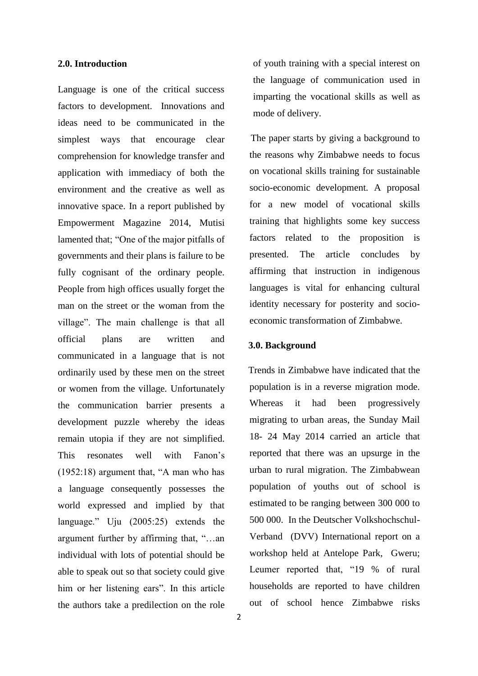### **2.0. Introduction**

Language is one of the critical success factors to development. Innovations and ideas need to be communicated in the simplest ways that encourage clear comprehension for knowledge transfer and application with immediacy of both the environment and the creative as well as innovative space. In a report published by Empowerment Magazine 2014, Mutisi lamented that; "One of the major pitfalls of governments and their plans is failure to be fully cognisant of the ordinary people. People from high offices usually forget the man on the street or the woman from the village". The main challenge is that all official plans are written and communicated in a language that is not ordinarily used by these men on the street or women from the village. Unfortunately the communication barrier presents a development puzzle whereby the ideas remain utopia if they are not simplified. This resonates well with Fanon's (1952:18) argument that, "A man who has a language consequently possesses the world expressed and implied by that language." Uju (2005:25) extends the argument further by affirming that, "…an individual with lots of potential should be able to speak out so that society could give him or her listening ears". In this article the authors take a predilection on the role

2

of youth training with a special interest on the language of communication used in imparting the vocational skills as well as mode of delivery.

 The paper starts by giving a background to the reasons why Zimbabwe needs to focus on vocational skills training for sustainable socio-economic development. A proposal for a new model of vocational skills training that highlights some key success factors related to the proposition is presented. The article concludes by affirming that instruction in indigenous languages is vital for enhancing cultural identity necessary for posterity and socioeconomic transformation of Zimbabwe.

### **3.0. Background**

Trends in Zimbabwe have indicated that the population is in a reverse migration mode. Whereas it had been progressively migrating to urban areas, the Sunday Mail 18- 24 May 2014 carried an article that reported that there was an upsurge in the urban to rural migration. The Zimbabwean population of youths out of school is estimated to be ranging between 300 000 to 500 000. In the Deutscher Volkshochschul-Verband (DVV) International report on a workshop held at Antelope Park, Gweru; Leumer reported that, "19 % of rural households are reported to have children out of school hence Zimbabwe risks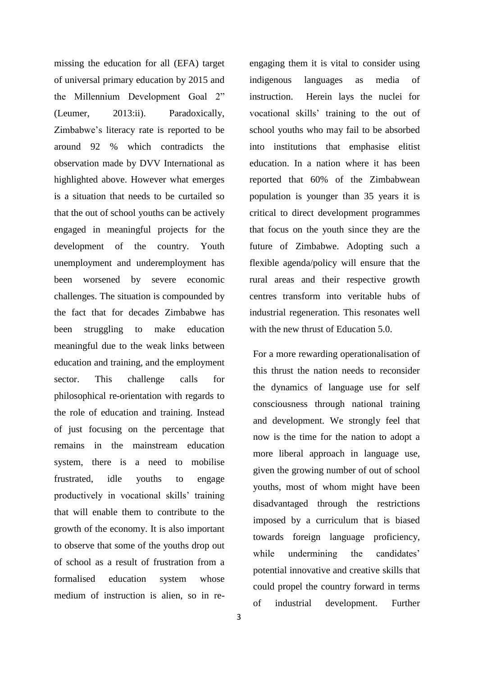missing the education for all (EFA) target of universal primary education by 2015 and the Millennium Development Goal 2" (Leumer, 2013:ii). Paradoxically, Zimbabwe's literacy rate is reported to be around 92 % which contradicts the observation made by DVV International as highlighted above. However what emerges is a situation that needs to be curtailed so that the out of school youths can be actively engaged in meaningful projects for the development of the country. Youth unemployment and underemployment has been worsened by severe economic challenges. The situation is compounded by the fact that for decades Zimbabwe has been struggling to make education meaningful due to the weak links between education and training, and the employment sector. This challenge calls for philosophical re-orientation with regards to the role of education and training. Instead of just focusing on the percentage that remains in the mainstream education system, there is a need to mobilise frustrated, idle youths to engage productively in vocational skills' training that will enable them to contribute to the growth of the economy. It is also important to observe that some of the youths drop out of school as a result of frustration from a formalised education system whose medium of instruction is alien, so in reengaging them it is vital to consider using indigenous languages as media of instruction. Herein lays the nuclei for vocational skills' training to the out of school youths who may fail to be absorbed into institutions that emphasise elitist education. In a nation where it has been reported that 60% of the Zimbabwean population is younger than 35 years it is critical to direct development programmes that focus on the youth since they are the future of Zimbabwe. Adopting such a flexible agenda/policy will ensure that the rural areas and their respective growth centres transform into veritable hubs of industrial regeneration. This resonates well with the new thrust of Education 5.0.

For a more rewarding operationalisation of this thrust the nation needs to reconsider the dynamics of language use for self consciousness through national training and development. We strongly feel that now is the time for the nation to adopt a more liberal approach in language use, given the growing number of out of school youths, most of whom might have been disadvantaged through the restrictions imposed by a curriculum that is biased towards foreign language proficiency, while undermining the candidates' potential innovative and creative skills that could propel the country forward in terms of industrial development. Further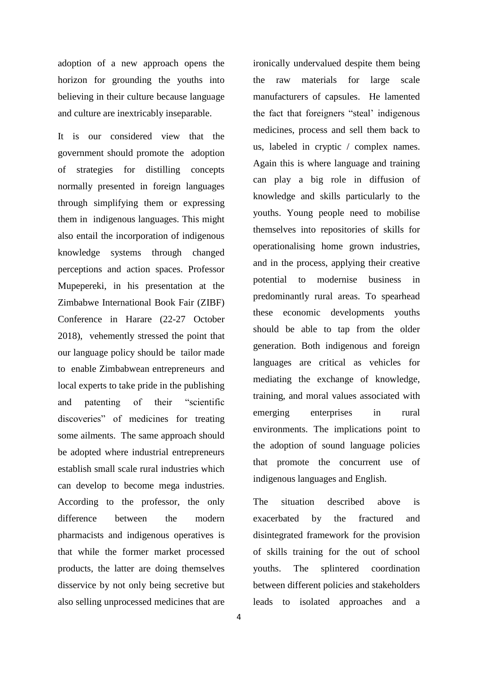adoption of a new approach opens the horizon for grounding the youths into believing in their culture because language and culture are inextricably inseparable.

It is our considered view that the government should promote the adoption of strategies for distilling concepts normally presented in foreign languages through simplifying them or expressing them in indigenous languages. This might also entail the incorporation of indigenous knowledge systems through changed perceptions and action spaces. Professor Mupepereki, in his presentation at the Zimbabwe International Book Fair (ZIBF) Conference in Harare (22-27 October 2018), vehemently stressed the point that our language policy should be tailor made to enable Zimbabwean entrepreneurs and local experts to take pride in the publishing and patenting of their "scientific discoveries" of medicines for treating some ailments. The same approach should be adopted where industrial entrepreneurs establish small scale rural industries which can develop to become mega industries. According to the professor, the only difference between the modern pharmacists and indigenous operatives is that while the former market processed products, the latter are doing themselves disservice by not only being secretive but also selling unprocessed medicines that are ironically undervalued despite them being the raw materials for large scale manufacturers of capsules. He lamented the fact that foreigners "steal' indigenous medicines, process and sell them back to us, labeled in cryptic / complex names. Again this is where language and training can play a big role in diffusion of knowledge and skills particularly to the youths. Young people need to mobilise themselves into repositories of skills for operationalising home grown industries, and in the process, applying their creative potential to modernise business in predominantly rural areas. To spearhead these economic developments youths should be able to tap from the older generation. Both indigenous and foreign languages are critical as vehicles for mediating the exchange of knowledge, training, and moral values associated with emerging enterprises in rural environments. The implications point to the adoption of sound language policies that promote the concurrent use of indigenous languages and English.

The situation described above is exacerbated by the fractured and disintegrated framework for the provision of skills training for the out of school youths. The splintered coordination between different policies and stakeholders leads to isolated approaches and a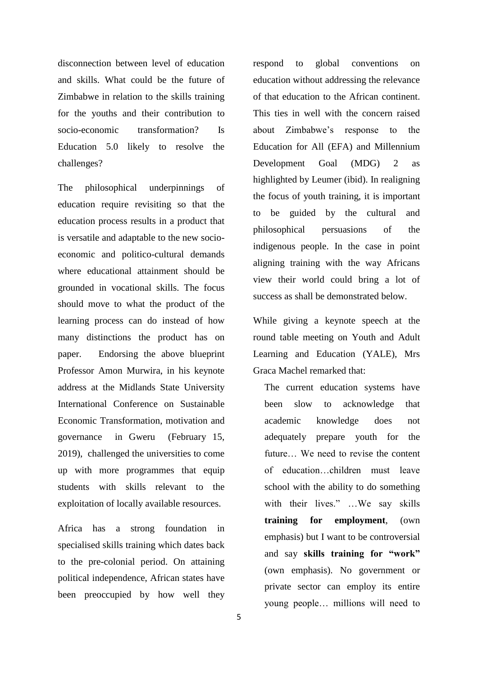disconnection between level of education and skills. What could be the future of Zimbabwe in relation to the skills training for the youths and their contribution to socio-economic transformation? Is Education 5.0 likely to resolve the challenges?

The philosophical underpinnings of education require revisiting so that the education process results in a product that is versatile and adaptable to the new socioeconomic and politico-cultural demands where educational attainment should be grounded in vocational skills. The focus should move to what the product of the learning process can do instead of how many distinctions the product has on paper. Endorsing the above blueprint Professor Amon Murwira, in his keynote address at the Midlands State University International Conference on Sustainable Economic Transformation, motivation and governance in Gweru (February 15, 2019), challenged the universities to come up with more programmes that equip students with skills relevant to the exploitation of locally available resources.

Africa has a strong foundation in specialised skills training which dates back to the pre-colonial period. On attaining political independence, African states have been preoccupied by how well they respond to global conventions on education without addressing the relevance of that education to the African continent. This ties in well with the concern raised about Zimbabwe's response to the Education for All (EFA) and Millennium Development Goal (MDG) 2 as highlighted by Leumer (ibid). In realigning the focus of youth training, it is important to be guided by the cultural and philosophical persuasions of the indigenous people. In the case in point aligning training with the way Africans view their world could bring a lot of success as shall be demonstrated below.

While giving a keynote speech at the round table meeting on Youth and Adult Learning and Education (YALE), Mrs Graca Machel remarked that:

The current education systems have been slow to acknowledge that academic knowledge does not adequately prepare youth for the future… We need to revise the content of education…children must leave school with the ability to do something with their lives." …We say skills **training for employment**, (own emphasis) but I want to be controversial and say **skills training for "work"**  (own emphasis). No government or private sector can employ its entire young people… millions will need to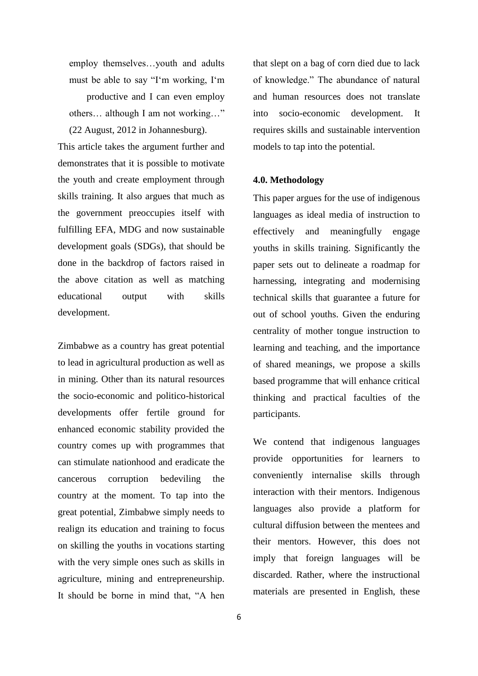employ themselves…youth and adults must be able to say "I'm working, I'm productive and I can even employ others… although I am not working…" (22 August, 2012 in Johannesburg).

This article takes the argument further and demonstrates that it is possible to motivate the youth and create employment through skills training. It also argues that much as the government preoccupies itself with fulfilling EFA, MDG and now sustainable development goals (SDGs), that should be done in the backdrop of factors raised in the above citation as well as matching educational output with skills development.

Zimbabwe as a country has great potential to lead in agricultural production as well as in mining. Other than its natural resources the socio-economic and politico-historical developments offer fertile ground for enhanced economic stability provided the country comes up with programmes that can stimulate nationhood and eradicate the cancerous corruption bedeviling the country at the moment. To tap into the great potential, Zimbabwe simply needs to realign its education and training to focus on skilling the youths in vocations starting with the very simple ones such as skills in agriculture, mining and entrepreneurship. It should be borne in mind that, "A hen that slept on a bag of corn died due to lack of knowledge." The abundance of natural and human resources does not translate into socio-economic development. It requires skills and sustainable intervention models to tap into the potential.

### **4.0. Methodology**

This paper argues for the use of indigenous languages as ideal media of instruction to effectively and meaningfully engage youths in skills training. Significantly the paper sets out to delineate a roadmap for harnessing, integrating and modernising technical skills that guarantee a future for out of school youths. Given the enduring centrality of mother tongue instruction to learning and teaching, and the importance of shared meanings, we propose a skills based programme that will enhance critical thinking and practical faculties of the participants.

We contend that indigenous languages provide opportunities for learners to conveniently internalise skills through interaction with their mentors. Indigenous languages also provide a platform for cultural diffusion between the mentees and their mentors. However, this does not imply that foreign languages will be discarded. Rather, where the instructional materials are presented in English, these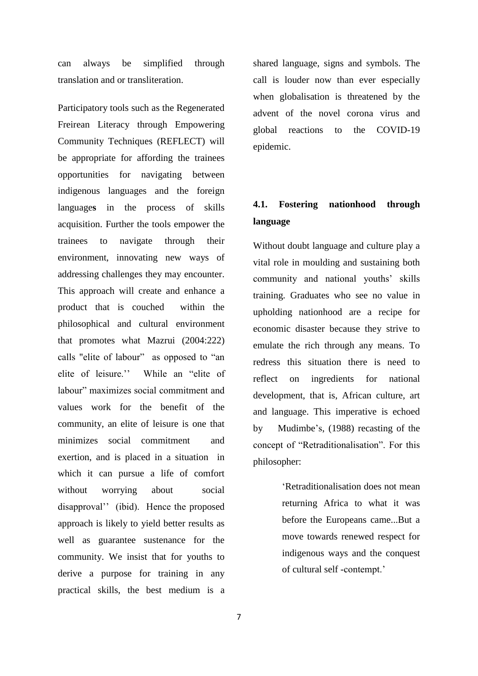can always be simplified through translation and or transliteration.

Participatory tools such as the Regenerated Freirean Literacy through Empowering Community Techniques (REFLECT) will be appropriate for affording the trainees opportunities for navigating between indigenous languages and the foreign language**s** in the process of skills acquisition. Further the tools empower the trainees to navigate through their environment, innovating new ways of addressing challenges they may encounter. This approach will create and enhance a product that is couched within the philosophical and cultural environment that promotes what Mazrui (2004:222) calls "elite of labour" as opposed to "an elite of leisure.'' While an "elite of labour" maximizes social commitment and values work for the benefit of the community, an elite of leisure is one that minimizes social commitment and exertion, and is placed in a situation in which it can pursue a life of comfort without worrying about social disapproval'' (ibid). Hence the proposed approach is likely to yield better results as well as guarantee sustenance for the community. We insist that for youths to derive a purpose for training in any practical skills, the best medium is a

shared language, signs and symbols. The call is louder now than ever especially when globalisation is threatened by the advent of the novel corona virus and global reactions to the COVID-19 epidemic.

# **4.1. Fostering nationhood through language**

Without doubt language and culture play a vital role in moulding and sustaining both community and national youths' skills training. Graduates who see no value in upholding nationhood are a recipe for economic disaster because they strive to emulate the rich through any means. To redress this situation there is need to reflect on ingredients for national development, that is, African culture, art and language. This imperative is echoed by Mudimbe's, (1988) recasting of the concept of "Retraditionalisation". For this philosopher:

> 'Retraditionalisation does not mean returning Africa to what it was before the Europeans came...But a move towards renewed respect for indigenous ways and the conquest of cultural self -contempt.'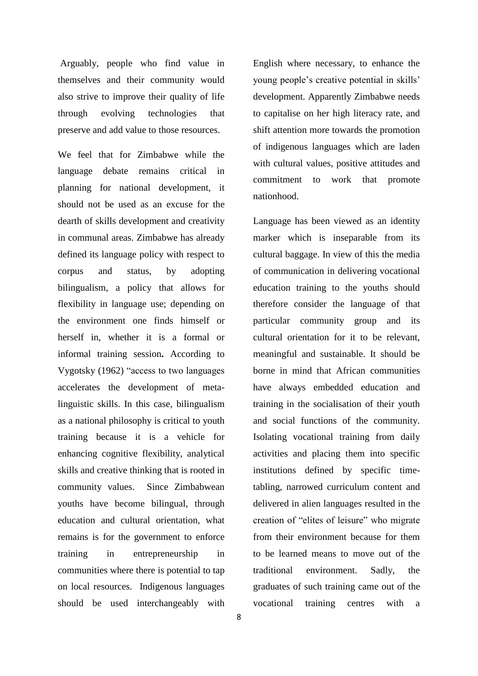Arguably, people who find value in themselves and their community would also strive to improve their quality of life through evolving technologies that preserve and add value to those resources.

We feel that for Zimbabwe while the language debate remains critical in planning for national development, it should not be used as an excuse for the dearth of skills development and creativity in communal areas. Zimbabwe has already defined its language policy with respect to corpus and status, by adopting bilingualism, a policy that allows for flexibility in language use; depending on the environment one finds himself or herself in, whether it is a formal or informal training session**.** According to Vygotsky (1962) "access to two languages accelerates the development of metalinguistic skills. In this case, bilingualism as a national philosophy is critical to youth training because it is a vehicle for enhancing cognitive flexibility, analytical skills and creative thinking that is rooted in community values. Since Zimbabwean youths have become bilingual, through education and cultural orientation, what remains is for the government to enforce training in entrepreneurship in communities where there is potential to tap on local resources. Indigenous languages should be used interchangeably with

English where necessary, to enhance the young people's creative potential in skills' development. Apparently Zimbabwe needs to capitalise on her high literacy rate, and shift attention more towards the promotion of indigenous languages which are laden with cultural values, positive attitudes and commitment to work that promote nationhood.

Language has been viewed as an identity marker which is inseparable from its cultural baggage. In view of this the media of communication in delivering vocational education training to the youths should therefore consider the language of that particular community group and its cultural orientation for it to be relevant, meaningful and sustainable. It should be borne in mind that African communities have always embedded education and training in the socialisation of their youth and social functions of the community. Isolating vocational training from daily activities and placing them into specific institutions defined by specific timetabling, narrowed curriculum content and delivered in alien languages resulted in the creation of "elites of leisure" who migrate from their environment because for them to be learned means to move out of the traditional environment. Sadly, the graduates of such training came out of the vocational training centres with a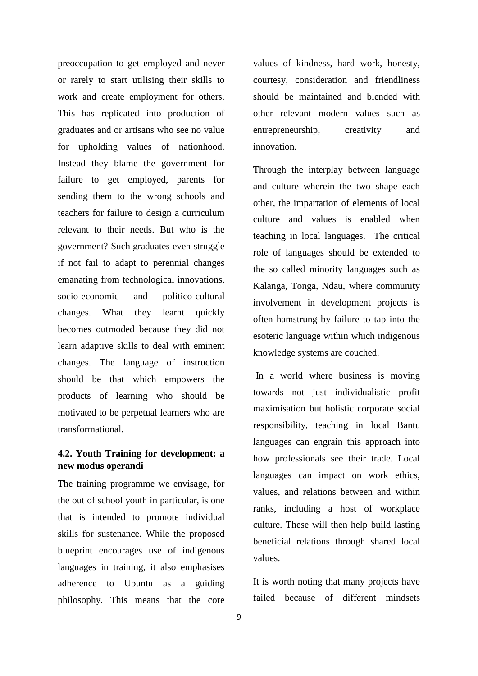preoccupation to get employed and never or rarely to start utilising their skills to work and create employment for others. This has replicated into production of graduates and or artisans who see no value for upholding values of nationhood. Instead they blame the government for failure to get employed, parents for sending them to the wrong schools and teachers for failure to design a curriculum relevant to their needs. But who is the government? Such graduates even struggle if not fail to adapt to perennial changes emanating from technological innovations, socio-economic and politico-cultural changes. What they learnt quickly becomes outmoded because they did not learn adaptive skills to deal with eminent changes. The language of instruction should be that which empowers the products of learning who should be motivated to be perpetual learners who are transformational.

# **4.2. Youth Training for development: a new modus operandi**

The training programme we envisage, for the out of school youth in particular, is one that is intended to promote individual skills for sustenance. While the proposed blueprint encourages use of indigenous languages in training, it also emphasises adherence to Ubuntu as a guiding philosophy. This means that the core

values of kindness, hard work, honesty, courtesy, consideration and friendliness should be maintained and blended with other relevant modern values such as entrepreneurship, creativity and innovation.

Through the interplay between language and culture wherein the two shape each other, the impartation of elements of local culture and values is enabled when teaching in local languages. The critical role of languages should be extended to the so called minority languages such as Kalanga, Tonga, Ndau, where community involvement in development projects is often hamstrung by failure to tap into the esoteric language within which indigenous knowledge systems are couched.

In a world where business is moving towards not just individualistic profit maximisation but holistic corporate social responsibility, teaching in local Bantu languages can engrain this approach into how professionals see their trade. Local languages can impact on work ethics, values, and relations between and within ranks, including a host of workplace culture. These will then help build lasting beneficial relations through shared local values.

It is worth noting that many projects have failed because of different mindsets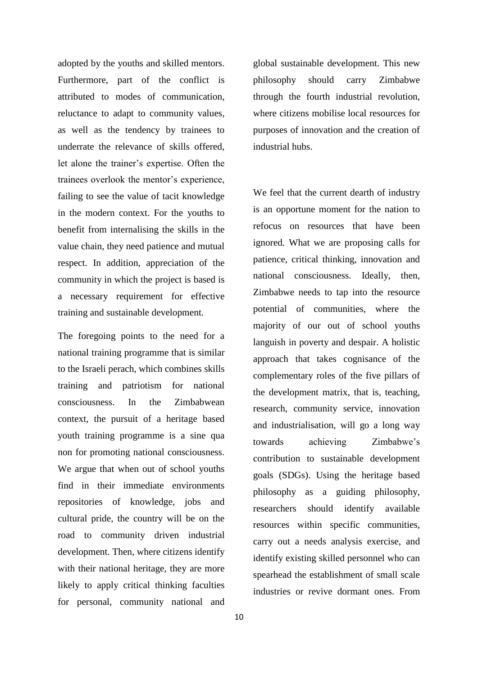adopted by the youths and skilled mentors. Furthermore, part of the conflict is attributed to modes of communication, reluctance to adapt to community values, as well as the tendency by trainees to underrate the relevance of skills offered, let alone the trainer's expertise. Often the trainees overlook the mentor's experience, failing to see the value of tacit knowledge in the modern context. For the youths to benefit from internalising the skills in the value chain, they need patience and mutual respect. In addition, appreciation of the community in which the project is based is a necessary requirement for effective training and sustainable development.

The foregoing points to the need for a national training programme that is similar to the Israeli perach, which combines skills training and patriotism for national consciousness. In the Zimbabwean context, the pursuit of a heritage based youth training programme is a sine qua non for promoting national consciousness. We argue that when out of school youths find in their immediate environments repositories of knowledge, jobs and cultural pride, the country will be on the road to community driven industrial development. Then, where citizens identify with their national heritage, they are more likely to apply critical thinking faculties for personal, community national and global sustainable development. This new philosophy should carry Zimbabwe through the fourth industrial revolution, where citizens mobilise local resources for purposes of innovation and the creation of industrial hubs.

We feel that the current dearth of industry is an opportune moment for the nation to refocus on resources that have been ignored. What we are proposing calls for patience, critical thinking, innovation and national consciousness. Ideally, then, Zimbabwe needs to tap into the resource potential of communities, where the majority of our out of school youths languish in poverty and despair. A holistic approach that takes cognisance of the complementary roles of the five pillars of the development matrix, that is, teaching, research, community service, innovation and industrialisation, will go a long way towards achieving Zimbabwe's contribution to sustainable development goals (SDGs). Using the heritage based philosophy as a guiding philosophy, researchers should identify available resources within specific communities, carry out a needs analysis exercise, and identify existing skilled personnel who can spearhead the establishment of small scale industries or revive dormant ones. From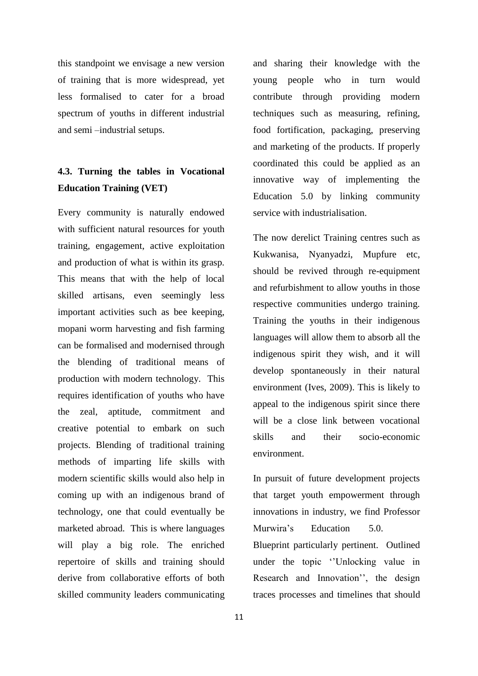this standpoint we envisage a new version of training that is more widespread, yet less formalised to cater for a broad spectrum of youths in different industrial and semi –industrial setups.

# **4.3. Turning the tables in Vocational Education Training (VET)**

Every community is naturally endowed with sufficient natural resources for youth training, engagement, active exploitation and production of what is within its grasp. This means that with the help of local skilled artisans, even seemingly less important activities such as bee keeping, mopani worm harvesting and fish farming can be formalised and modernised through the blending of traditional means of production with modern technology. This requires identification of youths who have the zeal, aptitude, commitment and creative potential to embark on such projects. Blending of traditional training methods of imparting life skills with modern scientific skills would also help in coming up with an indigenous brand of technology, one that could eventually be marketed abroad. This is where languages will play a big role. The enriched repertoire of skills and training should derive from collaborative efforts of both skilled community leaders communicating

and sharing their knowledge with the young people who in turn would contribute through providing modern techniques such as measuring, refining, food fortification, packaging, preserving and marketing of the products. If properly coordinated this could be applied as an innovative way of implementing the Education 5.0 by linking community service with industrialisation.

The now derelict Training centres such as Kukwanisa, Nyanyadzi, Mupfure etc, should be revived through re-equipment and refurbishment to allow youths in those respective communities undergo training. Training the youths in their indigenous languages will allow them to absorb all the indigenous spirit they wish, and it will develop spontaneously in their natural environment (Ives, 2009). This is likely to appeal to the indigenous spirit since there will be a close link between vocational skills and their socio-economic environment.

In pursuit of future development projects that target youth empowerment through innovations in industry, we find Professor Murwira's Education 5.0. Blueprint particularly pertinent. Outlined under the topic ''Unlocking value in Research and Innovation'', the design traces processes and timelines that should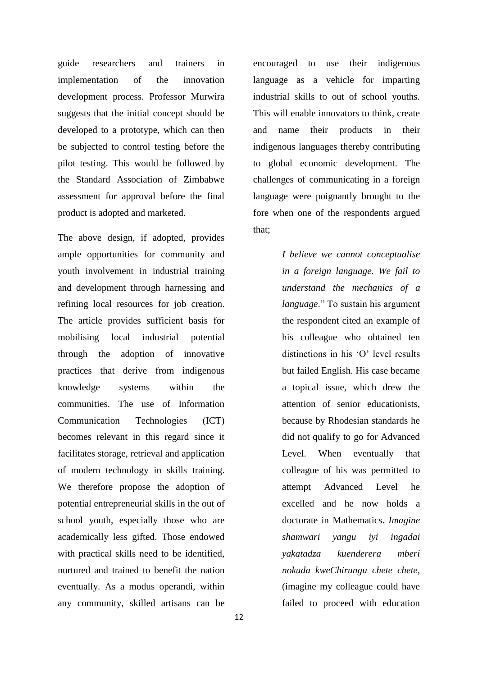guide researchers and trainers in implementation of the innovation development process. Professor Murwira suggests that the initial concept should be developed to a prototype, which can then be subjected to control testing before the pilot testing. This would be followed by the Standard Association of Zimbabwe assessment for approval before the final product is adopted and marketed.

The above design, if adopted, provides ample opportunities for community and youth involvement in industrial training and development through harnessing and refining local resources for job creation. The article provides sufficient basis for mobilising local industrial potential through the adoption of innovative practices that derive from indigenous knowledge systems within the communities. The use of Information Communication Technologies (ICT) becomes relevant in this regard since it facilitates storage, retrieval and application of modern technology in skills training. We therefore propose the adoption of potential entrepreneurial skills in the out of school youth, especially those who are academically less gifted. Those endowed with practical skills need to be identified, nurtured and trained to benefit the nation eventually. As a modus operandi, within any community, skilled artisans can be

encouraged to use their indigenous language as a vehicle for imparting industrial skills to out of school youths. This will enable innovators to think, create and name their products in their indigenous languages thereby contributing to global economic development. The challenges of communicating in a foreign language were poignantly brought to the fore when one of the respondents argued that;

> *I believe we cannot conceptualise in a foreign language. We fail to understand the mechanics of a language*." To sustain his argument the respondent cited an example of his colleague who obtained ten distinctions in his 'O' level results but failed English. His case became a topical issue, which drew the attention of senior educationists, because by Rhodesian standards he did not qualify to go for Advanced Level. When eventually that colleague of his was permitted to attempt Advanced Level he excelled and he now holds a doctorate in Mathematics. *Imagine shamwari yangu iyi ingadai yakatadza kuenderera mberi nokuda kweChirungu chete chete,*  (imagine my colleague could have failed to proceed with education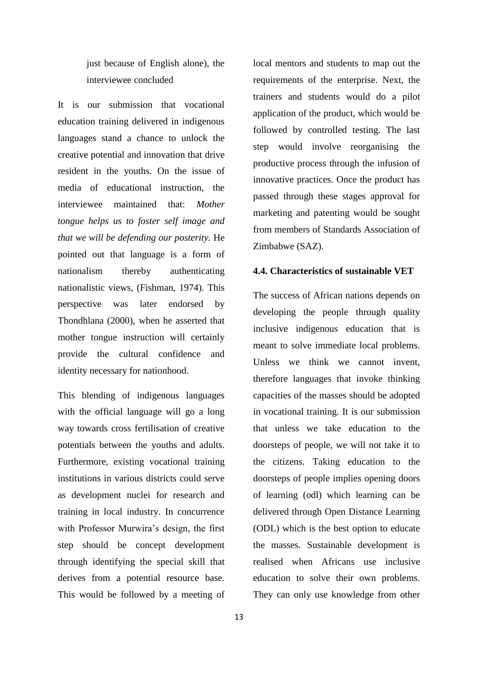just because of English alone), the interviewee concluded

It is our submission that vocational education training delivered in indigenous languages stand a chance to unlock the creative potential and innovation that drive resident in the youths. On the issue of media of educational instruction, the interviewee maintained that: *Mother tongue helps us to foster self image and that we will be defending our posterity.* He pointed out that language is a form of nationalism thereby authenticating nationalistic views, (Fishman, 1974). This perspective was later endorsed by Thondhlana (2000), when he asserted that mother tongue instruction will certainly provide the cultural confidence and identity necessary for nationhood.

This blending of indigenous languages with the official language will go a long way towards cross fertilisation of creative potentials between the youths and adults. Furthermore, existing vocational training institutions in various districts could serve as development nuclei for research and training in local industry. In concurrence with Professor Murwira's design, the first step should be concept development through identifying the special skill that derives from a potential resource base. This would be followed by a meeting of requirements of the enterprise. Next, the trainers and students would do a pilot application of the product, which would be followed by controlled testing. The last step would involve reorganising the productive process through the infusion of innovative practices. Once the product has passed through these stages approval for marketing and patenting would be sought from members of Standards Association of Zimbabwe (SAZ).

local mentors and students to map out the

## **4.4. Characteristics of sustainable VET**

The success of African nations depends on developing the people through quality inclusive indigenous education that is meant to solve immediate local problems. Unless we think we cannot invent, therefore languages that invoke thinking capacities of the masses should be adopted in vocational training. It is our submission that unless we take education to the doorsteps of people, we will not take it to the citizens. Taking education to the doorsteps of people implies opening doors of learning (odl) which learning can be delivered through Open Distance Learning (ODL) which is the best option to educate the masses. Sustainable development is realised when Africans use inclusive education to solve their own problems. They can only use knowledge from other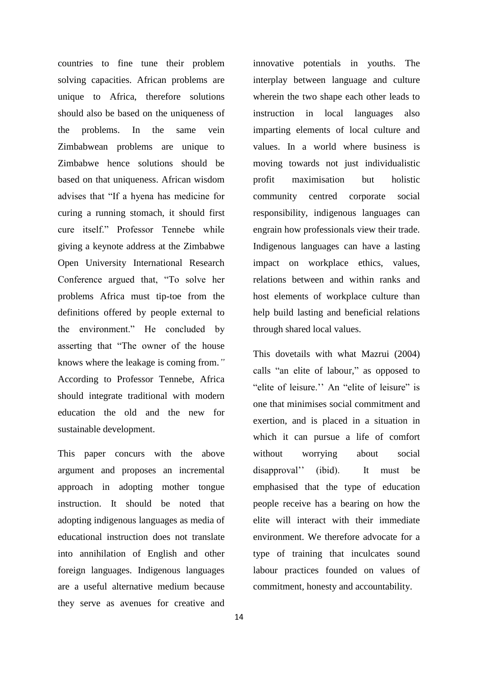countries to fine tune their problem solving capacities. African problems are unique to Africa, therefore solutions should also be based on the uniqueness of the problems. In the same vein Zimbabwean problems are unique to Zimbabwe hence solutions should be based on that uniqueness. African wisdom advises that "If a hyena has medicine for curing a running stomach, it should first cure itself." Professor Tennebe while giving a keynote address at the Zimbabwe Open University International Research Conference argued that, "To solve her problems Africa must tip-toe from the definitions offered by people external to the environment." He concluded by asserting that "The owner of the house knows where the leakage is coming from.*"* According to Professor Tennebe, Africa should integrate traditional with modern education the old and the new for sustainable development.

This paper concurs with the above argument and proposes an incremental approach in adopting mother tongue instruction. It should be noted that adopting indigenous languages as media of educational instruction does not translate into annihilation of English and other foreign languages. Indigenous languages are a useful alternative medium because they serve as avenues for creative and

innovative potentials in youths. The interplay between language and culture wherein the two shape each other leads to instruction in local languages also imparting elements of local culture and values. In a world where business is moving towards not just individualistic profit maximisation but holistic community centred corporate social responsibility, indigenous languages can engrain how professionals view their trade. Indigenous languages can have a lasting impact on workplace ethics, values, relations between and within ranks and host elements of workplace culture than help build lasting and beneficial relations through shared local values.

This dovetails with what Mazrui (2004) calls "an elite of labour," as opposed to "elite of leisure." An "elite of leisure" is one that minimises social commitment and exertion, and is placed in a situation in which it can pursue a life of comfort without worrying about social disapproval'' (ibid). It must be emphasised that the type of education people receive has a bearing on how the elite will interact with their immediate environment. We therefore advocate for a type of training that inculcates sound labour practices founded on values of commitment, honesty and accountability.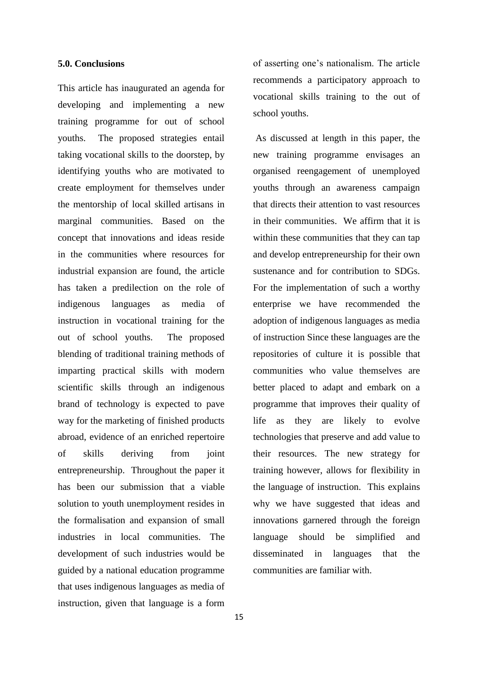### **5.0. Conclusions**

This article has inaugurated an agenda for developing and implementing a new training programme for out of school youths. The proposed strategies entail taking vocational skills to the doorstep, by identifying youths who are motivated to create employment for themselves under the mentorship of local skilled artisans in marginal communities. Based on the concept that innovations and ideas reside in the communities where resources for industrial expansion are found, the article has taken a predilection on the role of indigenous languages as media of instruction in vocational training for the out of school youths. The proposed blending of traditional training methods of imparting practical skills with modern scientific skills through an indigenous brand of technology is expected to pave way for the marketing of finished products abroad, evidence of an enriched repertoire of skills deriving from joint entrepreneurship. Throughout the paper it has been our submission that a viable solution to youth unemployment resides in the formalisation and expansion of small industries in local communities. The development of such industries would be guided by a national education programme that uses indigenous languages as media of instruction, given that language is a form

life as they are likely to evolve technologies that preserve and add value to their resources. The new strategy for training however, allows for flexibility in the language of instruction. This explains why we have suggested that ideas and innovations garnered through the foreign language should be simplified and disseminated in languages that the

communities are familiar with.

of asserting one's nationalism. The article recommends a participatory approach to vocational skills training to the out of school youths.

As discussed at length in this paper, the

new training programme envisages an

organised reengagement of unemployed

youths through an awareness campaign

that directs their attention to vast resources

in their communities. We affirm that it is

within these communities that they can tap

and develop entrepreneurship for their own sustenance and for contribution to SDGs.

For the implementation of such a worthy

enterprise we have recommended the

adoption of indigenous languages as media

of instruction Since these languages are the

repositories of culture it is possible that

communities who value themselves are

better placed to adapt and embark on a

programme that improves their quality of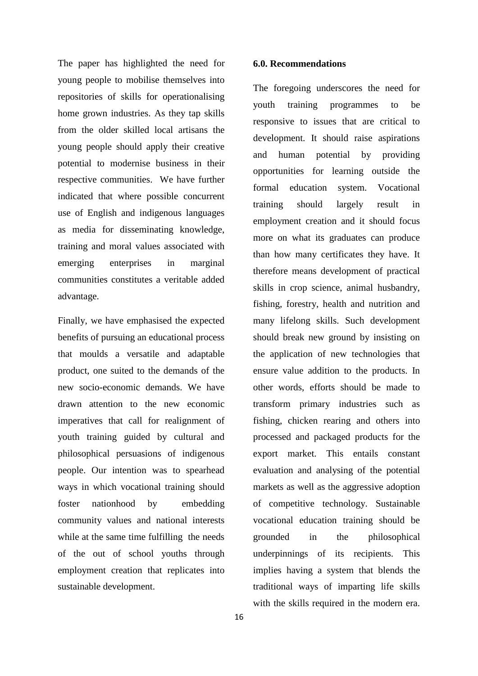The paper has highlighted the need for young people to mobilise themselves into repositories of skills for operationalising home grown industries. As they tap skills from the older skilled local artisans the young people should apply their creative potential to modernise business in their respective communities. We have further indicated that where possible concurrent use of English and indigenous languages as media for disseminating knowledge, training and moral values associated with emerging enterprises in marginal communities constitutes a veritable added advantage.

Finally, we have emphasised the expected benefits of pursuing an educational process that moulds a versatile and adaptable product, one suited to the demands of the new socio-economic demands. We have drawn attention to the new economic imperatives that call for realignment of youth training guided by cultural and philosophical persuasions of indigenous people. Our intention was to spearhead ways in which vocational training should foster nationhood by embedding community values and national interests while at the same time fulfilling the needs of the out of school youths through employment creation that replicates into sustainable development.

### **6.0. Recommendations**

The foregoing underscores the need for youth training programmes to be responsive to issues that are critical to development. It should raise aspirations and human potential by providing opportunities for learning outside the formal education system. Vocational training should largely result in employment creation and it should focus more on what its graduates can produce than how many certificates they have. It therefore means development of practical skills in crop science, animal husbandry, fishing, forestry, health and nutrition and many lifelong skills. Such development should break new ground by insisting on the application of new technologies that ensure value addition to the products. In other words, efforts should be made to transform primary industries such as fishing, chicken rearing and others into processed and packaged products for the export market. This entails constant evaluation and analysing of the potential markets as well as the aggressive adoption of competitive technology. Sustainable vocational education training should be grounded in the philosophical underpinnings of its recipients. This implies having a system that blends the traditional ways of imparting life skills with the skills required in the modern era.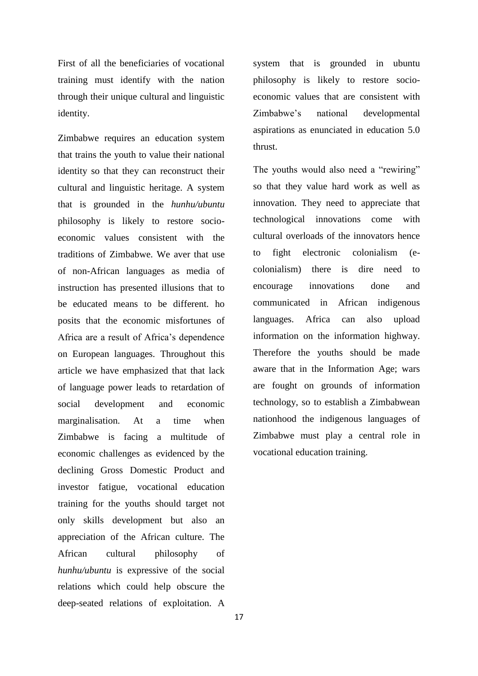First of all the beneficiaries of vocational training must identify with the nation through their unique cultural and linguistic identity.

 Zimbabwe requires an education system that trains the youth to value their national identity so that they can reconstruct their cultural and linguistic heritage. A system that is grounded in the *hunhu/ubuntu* philosophy is likely to restore socioeconomic values consistent with the traditions of Zimbabwe. We aver that use of non-African languages as media of instruction has presented illusions that to be educated means to be different. ho posits that the economic misfortunes of Africa are a result of Africa's dependence on European languages. Throughout this article we have emphasized that that lack of language power leads to retardation of social development and economic marginalisation. At a time when Zimbabwe is facing a multitude of economic challenges as evidenced by the declining Gross Domestic Product and investor fatigue, vocational education training for the youths should target not only skills development but also an appreciation of the African culture. The African cultural philosophy of *hunhu/ubuntu* is expressive of the social relations which could help obscure the deep-seated relations of exploitation. A

system that is grounded in ubuntu philosophy is likely to restore socioeconomic values that are consistent with Zimbabwe's national developmental aspirations as enunciated in education 5.0 thrust.

The youths would also need a "rewiring" so that they value hard work as well as innovation. They need to appreciate that technological innovations come with cultural overloads of the innovators hence to fight electronic colonialism (ecolonialism) there is dire need to encourage innovations done and communicated in African indigenous languages. Africa can also upload information on the information highway. Therefore the youths should be made aware that in the Information Age; wars are fought on grounds of information technology, so to establish a Zimbabwean nationhood the indigenous languages of Zimbabwe must play a central role in vocational education training.